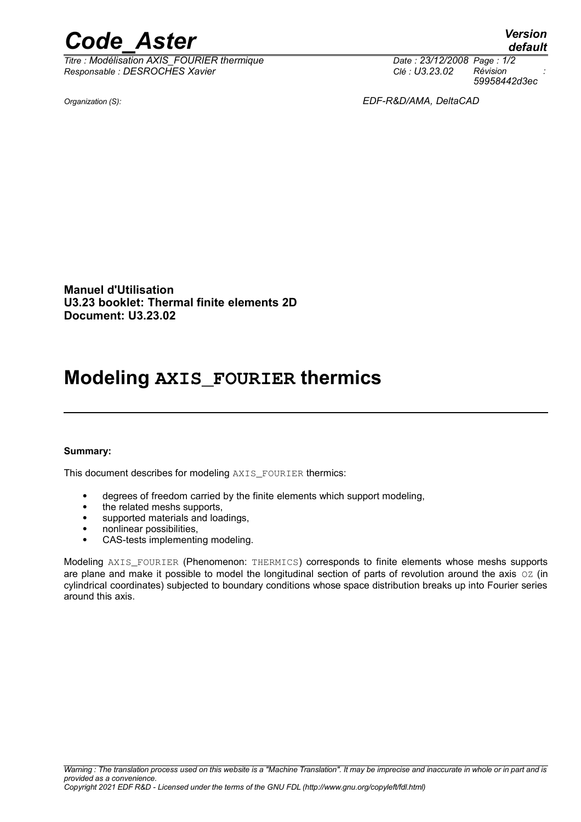## *Code\_Aster Version*

*Titre : Modélisation AXIS\_FOURIER thermique Date : 23/12/2008 Page : 1/2 Responsable : DESROCHES Xavier Clé : U3.23.02 Révision :*

*default 59958442d3ec*

*Organization (S): EDF-R&D/AMA, DeltaCAD*

**Manuel d'Utilisation U3.23 booklet: Thermal finite elements 2D Document: U3.23.02**

## **Modeling AXIS\_FOURIER thermics**

#### **Summary:**

This document describes for modeling AXIS\_FOURIER thermics:

- degrees of freedom carried by the finite elements which support modeling,
- the related meshs supports,
- supported materials and loadings,
- nonlinear possibilities,
- CAS-tests implementing modeling.

Modeling AXIS FOURIER (Phenomenon: THERMICS) corresponds to finite elements whose meshs supports are plane and make it possible to model the longitudinal section of parts of revolution around the axis OZ (in cylindrical coordinates) subjected to boundary conditions whose space distribution breaks up into Fourier series around this axis.